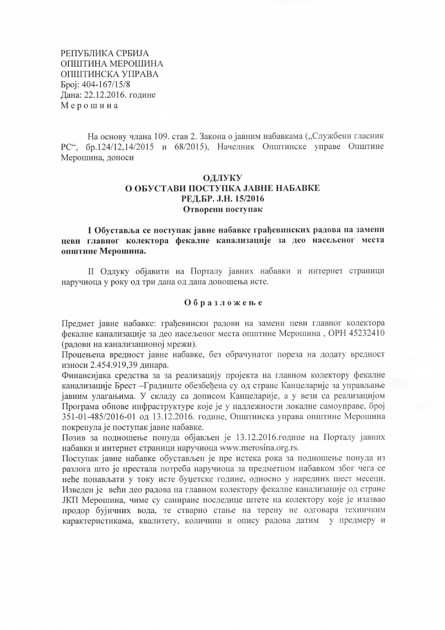РЕПУБЛИКА СРБИЈА ОПШТИНА МЕРОШИНА ОПШТИНСКА УПРАВА Број: 404-167/15/8 Дана: 22.12.2016. године Мерошина

На основу члана 109, став 2. Закона о јавним набавкама ("Службени гласник РС", бр.124/12,14/2015 и 68/2015), Начелник Општинске управе Општине Мерошина, доноси

## ОДЛУКУ О ОБУСТАВИ ПОСТУПКА ЈАВНЕ НАБАВКЕ РЕД.БР. Ј.Н. 15/2016 Отворени поступак

І Обуставља се поступак јавне набавке грађевинских радова на замени цеви главног колектора фекалне канализације за део насељеног места општине Мерошина.

II Одлуку објавити на Порталу јавних набавки и интернет страници наручиоца у року од три дана од дана доношења исте.

## Образложење

Предмет јавне набавке: грађевински радови на замени цеви главног колектора фекалне канализације за део насељеног места општине Мерошина, ОРН 45232410 (радови на канализационој мрежи).

Процењена вредност јавне набавке, без обрачунатог пореза на додату вредност износи 2.454.919,39 динара.

Финансијака средства за за реализацију пројекта на главном колектору фекалне канализације Брест - Градиште обезбеђена су од стране Канцеларије за управљање јавним улагањима. У складу са дописом Канцеларије, а у вези са реализацијом Програма обнове инфраструктуре које је у надлежности локалне самоуправе, број 351-01-485/2016-01 од 13.12.2016. године, Општинска управа општине Мерошина покренула је поступак јавне набавке.

Позив за подношење понуда објављен је 13.12.2016.године на Порталу јавних набавки и интернет страници наручиоца www.merosina.org.rs.

Поступак јавне набавке обустављен је пре истека рока за подношење понуда из разлога што је престала потреба наручиоца за предметном набавком због чега се неће понављати у току исте буџетске године, односно у наредних шест месеци. Изведен је већи део радова на главном колектору фекалне канализације од стране ЈКП Мерошина, чиме су саниране последице штете на колектору које је изазвао продор бујичних вода, те стварно стање на терену не одговара техничким карактеристикама, квалитету, количини и опису радова датим у предмеру и